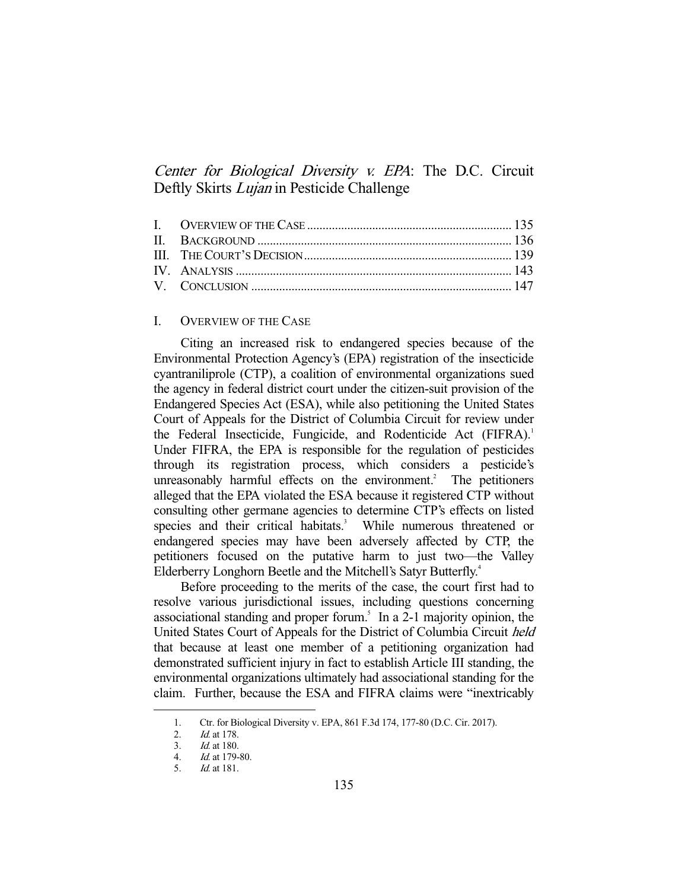# Center for Biological Diversity v. EPA: The D.C. Circuit Deftly Skirts *Lujan* in Pesticide Challenge

## I. OVERVIEW OF THE CASE

 Citing an increased risk to endangered species because of the Environmental Protection Agency's (EPA) registration of the insecticide cyantraniliprole (CTP), a coalition of environmental organizations sued the agency in federal district court under the citizen-suit provision of the Endangered Species Act (ESA), while also petitioning the United States Court of Appeals for the District of Columbia Circuit for review under the Federal Insecticide, Fungicide, and Rodenticide Act (FIFRA).<sup>1</sup> Under FIFRA, the EPA is responsible for the regulation of pesticides through its registration process, which considers a pesticide's unreasonably harmful effects on the environment.<sup>2</sup> The petitioners alleged that the EPA violated the ESA because it registered CTP without consulting other germane agencies to determine CTP's effects on listed species and their critical habitats.<sup>3</sup> While numerous threatened or endangered species may have been adversely affected by CTP, the petitioners focused on the putative harm to just two—the Valley Elderberry Longhorn Beetle and the Mitchell's Satyr Butterfly.4

 Before proceeding to the merits of the case, the court first had to resolve various jurisdictional issues, including questions concerning associational standing and proper forum.<sup>5</sup> In a 2-1 majority opinion, the United States Court of Appeals for the District of Columbia Circuit held that because at least one member of a petitioning organization had demonstrated sufficient injury in fact to establish Article III standing, the environmental organizations ultimately had associational standing for the claim. Further, because the ESA and FIFRA claims were "inextricably

 <sup>1.</sup> Ctr. for Biological Diversity v. EPA, 861 F.3d 174, 177-80 (D.C. Cir. 2017).

 <sup>2.</sup> Id. at 178.

 <sup>3.</sup> Id. at 180.

 <sup>4.</sup> Id. at 179-80.

 <sup>5.</sup> Id. at 181.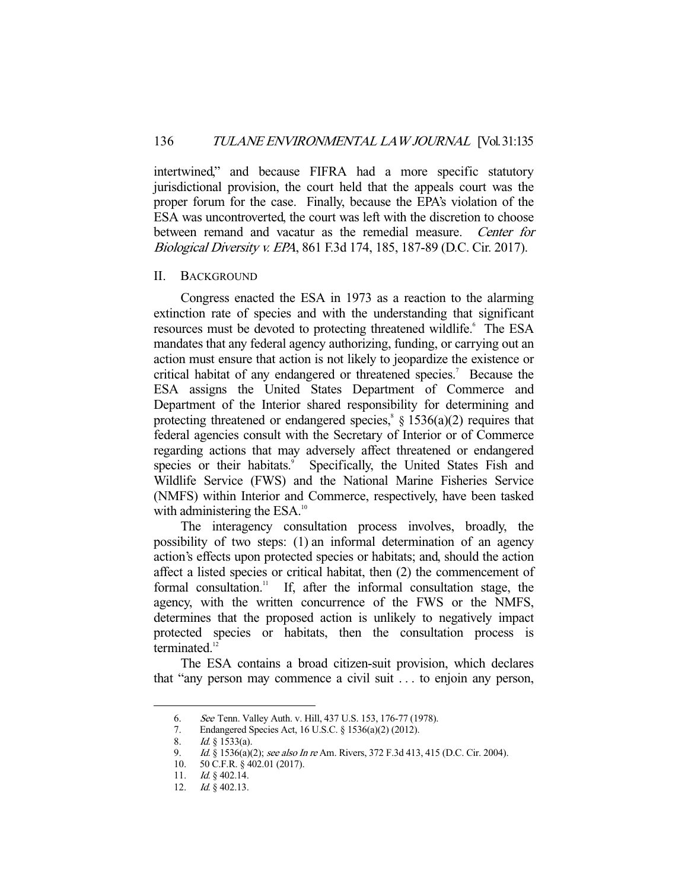intertwined," and because FIFRA had a more specific statutory jurisdictional provision, the court held that the appeals court was the proper forum for the case. Finally, because the EPA's violation of the ESA was uncontroverted, the court was left with the discretion to choose between remand and vacatur as the remedial measure. Center for Biological Diversity v. EPA, 861 F.3d 174, 185, 187-89 (D.C. Cir. 2017).

#### II. BACKGROUND

 Congress enacted the ESA in 1973 as a reaction to the alarming extinction rate of species and with the understanding that significant resources must be devoted to protecting threatened wildlife.<sup>6</sup> The ESA mandates that any federal agency authorizing, funding, or carrying out an action must ensure that action is not likely to jeopardize the existence or critical habitat of any endangered or threatened species.<sup>7</sup> Because the ESA assigns the United States Department of Commerce and Department of the Interior shared responsibility for determining and protecting threatened or endangered species,<sup>8</sup>  $\frac{1536(a)(2)}{20}$  requires that federal agencies consult with the Secretary of Interior or of Commerce regarding actions that may adversely affect threatened or endangered species or their habitats.<sup>9</sup> Specifically, the United States Fish and Wildlife Service (FWS) and the National Marine Fisheries Service (NMFS) within Interior and Commerce, respectively, have been tasked with administering the ESA.<sup>10</sup>

 The interagency consultation process involves, broadly, the possibility of two steps: (1) an informal determination of an agency action's effects upon protected species or habitats; and, should the action affect a listed species or critical habitat, then (2) the commencement of formal consultation.<sup>11</sup> If, after the informal consultation stage, the agency, with the written concurrence of the FWS or the NMFS, determines that the proposed action is unlikely to negatively impact protected species or habitats, then the consultation process is terminated.<sup>12</sup>

 The ESA contains a broad citizen-suit provision, which declares that "any person may commence a civil suit . . . to enjoin any person,

 <sup>6.</sup> See Tenn. Valley Auth. v. Hill, 437 U.S. 153, 176-77 (1978).

 <sup>7.</sup> Endangered Species Act, 16 U.S.C. § 1536(a)(2) (2012).

 <sup>8.</sup> Id. § 1533(a).

<sup>9.</sup> *Id.* § 1536(a)(2); see also In re Am. Rivers, 372 F.3d 413, 415 (D.C. Cir. 2004).

 <sup>10. 50</sup> C.F.R. § 402.01 (2017).

<sup>11.</sup> *Id.*  $\&$  402.14.

 <sup>12.</sup> Id. § 402.13.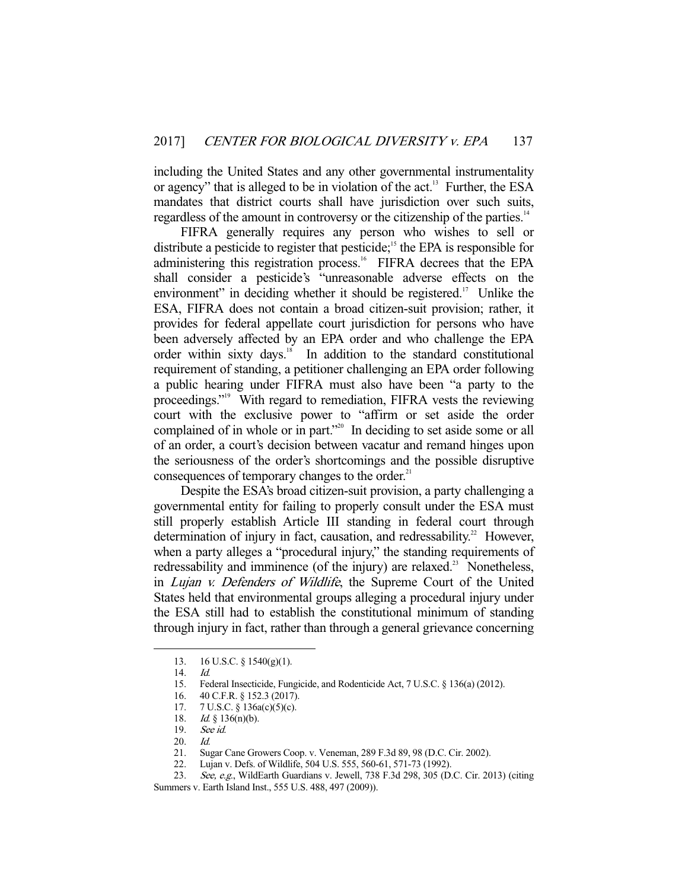including the United States and any other governmental instrumentality or agency" that is alleged to be in violation of the act.<sup>13</sup> Further, the ESA mandates that district courts shall have jurisdiction over such suits, regardless of the amount in controversy or the citizenship of the parties.<sup>14</sup>

 FIFRA generally requires any person who wishes to sell or distribute a pesticide to register that pesticide;<sup>15</sup> the EPA is responsible for administering this registration process.<sup>16</sup> FIFRA decrees that the EPA shall consider a pesticide's "unreasonable adverse effects on the environment" in deciding whether it should be registered.<sup>17</sup> Unlike the ESA, FIFRA does not contain a broad citizen-suit provision; rather, it provides for federal appellate court jurisdiction for persons who have been adversely affected by an EPA order and who challenge the EPA order within sixty days.<sup>18</sup> In addition to the standard constitutional requirement of standing, a petitioner challenging an EPA order following a public hearing under FIFRA must also have been "a party to the proceedings."<sup>19</sup> With regard to remediation, FIFRA vests the reviewing court with the exclusive power to "affirm or set aside the order complained of in whole or in part."<sup>20</sup> In deciding to set aside some or all of an order, a court's decision between vacatur and remand hinges upon the seriousness of the order's shortcomings and the possible disruptive consequences of temporary changes to the order.<sup>21</sup>

 Despite the ESA's broad citizen-suit provision, a party challenging a governmental entity for failing to properly consult under the ESA must still properly establish Article III standing in federal court through determination of injury in fact, causation, and redressability.<sup>22</sup> However, when a party alleges a "procedural injury," the standing requirements of redressability and imminence (of the injury) are relaxed.<sup>23</sup> Nonetheless, in Lujan v. Defenders of Wildlife, the Supreme Court of the United States held that environmental groups alleging a procedural injury under the ESA still had to establish the constitutional minimum of standing through injury in fact, rather than through a general grievance concerning

 <sup>13. 16</sup> U.S.C. § 1540(g)(1).

 <sup>14.</sup> Id.

 <sup>15.</sup> Federal Insecticide, Fungicide, and Rodenticide Act, 7 U.S.C. § 136(a) (2012).

 <sup>16. 40</sup> C.F.R. § 152.3 (2017).

 <sup>17. 7</sup> U.S.C. § 136a(c)(5)(c).

<sup>18.</sup> *Id.* § 136(n)(b).

 <sup>19.</sup> See id.

 <sup>20.</sup> Id.

 <sup>21.</sup> Sugar Cane Growers Coop. v. Veneman, 289 F.3d 89, 98 (D.C. Cir. 2002).

 <sup>22.</sup> Lujan v. Defs. of Wildlife, 504 U.S. 555, 560-61, 571-73 (1992).

<sup>23.</sup> See, e.g., WildEarth Guardians v. Jewell, 738 F.3d 298, 305 (D.C. Cir. 2013) (citing Summers v. Earth Island Inst., 555 U.S. 488, 497 (2009)).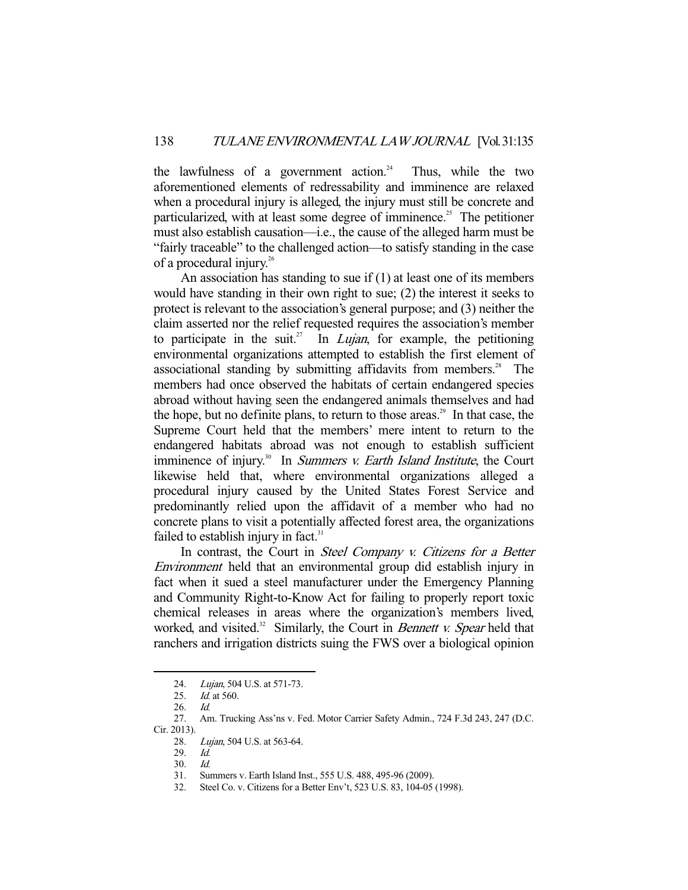the lawfulness of a government action.<sup>24</sup> Thus, while the two aforementioned elements of redressability and imminence are relaxed when a procedural injury is alleged, the injury must still be concrete and particularized, with at least some degree of imminence.<sup>25</sup> The petitioner must also establish causation—i.e., the cause of the alleged harm must be "fairly traceable" to the challenged action—to satisfy standing in the case of a procedural injury.<sup>26</sup>

 An association has standing to sue if (1) at least one of its members would have standing in their own right to sue; (2) the interest it seeks to protect is relevant to the association's general purpose; and (3) neither the claim asserted nor the relief requested requires the association's member to participate in the suit.<sup>27</sup> In *Lujan*, for example, the petitioning environmental organizations attempted to establish the first element of associational standing by submitting affidavits from members.<sup>28</sup> The members had once observed the habitats of certain endangered species abroad without having seen the endangered animals themselves and had the hope, but no definite plans, to return to those areas.<sup>29</sup> In that case, the Supreme Court held that the members' mere intent to return to the endangered habitats abroad was not enough to establish sufficient imminence of injury.<sup>30</sup> In Summers v. Earth Island Institute, the Court likewise held that, where environmental organizations alleged a procedural injury caused by the United States Forest Service and predominantly relied upon the affidavit of a member who had no concrete plans to visit a potentially affected forest area, the organizations failed to establish injury in fact. $31$ 

In contrast, the Court in Steel Company v. Citizens for a Better Environment held that an environmental group did establish injury in fact when it sued a steel manufacturer under the Emergency Planning and Community Right-to-Know Act for failing to properly report toxic chemical releases in areas where the organization's members lived, worked, and visited. $32$  Similarly, the Court in *Bennett v. Spear* held that ranchers and irrigation districts suing the FWS over a biological opinion

<sup>24.</sup> Lujan, 504 U.S. at 571-73.

<sup>25.</sup> *Id.* at 560.

 <sup>26.</sup> Id.

 <sup>27.</sup> Am. Trucking Ass'ns v. Fed. Motor Carrier Safety Admin., 724 F.3d 243, 247 (D.C. Cir. 2013).

<sup>28.</sup> Lujan, 504 U.S. at 563-64.

 <sup>29.</sup> Id.

 <sup>30.</sup> Id.

 <sup>31.</sup> Summers v. Earth Island Inst., 555 U.S. 488, 495-96 (2009).

 <sup>32.</sup> Steel Co. v. Citizens for a Better Env't, 523 U.S. 83, 104-05 (1998).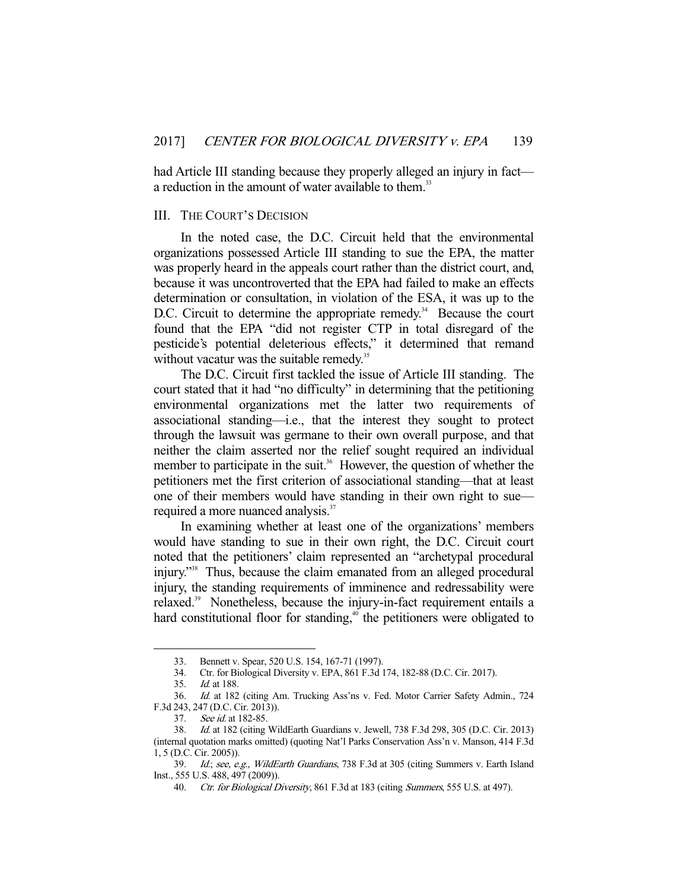had Article III standing because they properly alleged an injury in fact a reduction in the amount of water available to them.<sup>33</sup>

### III. THE COURT'S DECISION

 In the noted case, the D.C. Circuit held that the environmental organizations possessed Article III standing to sue the EPA, the matter was properly heard in the appeals court rather than the district court, and, because it was uncontroverted that the EPA had failed to make an effects determination or consultation, in violation of the ESA, it was up to the D.C. Circuit to determine the appropriate remedy.<sup>34</sup> Because the court found that the EPA "did not register CTP in total disregard of the pesticide's potential deleterious effects," it determined that remand without vacatur was the suitable remedy.<sup>35</sup>

 The D.C. Circuit first tackled the issue of Article III standing. The court stated that it had "no difficulty" in determining that the petitioning environmental organizations met the latter two requirements of associational standing—i.e., that the interest they sought to protect through the lawsuit was germane to their own overall purpose, and that neither the claim asserted nor the relief sought required an individual member to participate in the suit.<sup>36</sup> However, the question of whether the petitioners met the first criterion of associational standing—that at least one of their members would have standing in their own right to sue required a more nuanced analysis.<sup>37</sup>

 In examining whether at least one of the organizations' members would have standing to sue in their own right, the D.C. Circuit court noted that the petitioners' claim represented an "archetypal procedural injury."38 Thus, because the claim emanated from an alleged procedural injury, the standing requirements of imminence and redressability were relaxed.<sup>39</sup> Nonetheless, because the injury-in-fact requirement entails a hard constitutional floor for standing, $40$  the petitioners were obligated to

 <sup>33.</sup> Bennett v. Spear, 520 U.S. 154, 167-71 (1997).

 <sup>34.</sup> Ctr. for Biological Diversity v. EPA, 861 F.3d 174, 182-88 (D.C. Cir. 2017).

 <sup>35.</sup> Id. at 188.

 <sup>36.</sup> Id. at 182 (citing Am. Trucking Ass'ns v. Fed. Motor Carrier Safety Admin., 724 F.3d 243, 247 (D.C. Cir. 2013)).

 <sup>37.</sup> See id. at 182-85.

 <sup>38.</sup> Id. at 182 (citing WildEarth Guardians v. Jewell, 738 F.3d 298, 305 (D.C. Cir. 2013) (internal quotation marks omitted) (quoting Nat'l Parks Conservation Ass'n v. Manson, 414 F.3d 1, 5 (D.C. Cir. 2005)).

<sup>39.</sup> Id.; see, e.g., WildEarth Guardians, 738 F.3d at 305 (citing Summers v. Earth Island Inst., 555 U.S. 488, 497 (2009)).

<sup>40.</sup> Ctr. for Biological Diversity, 861 F.3d at 183 (citing Summers, 555 U.S. at 497).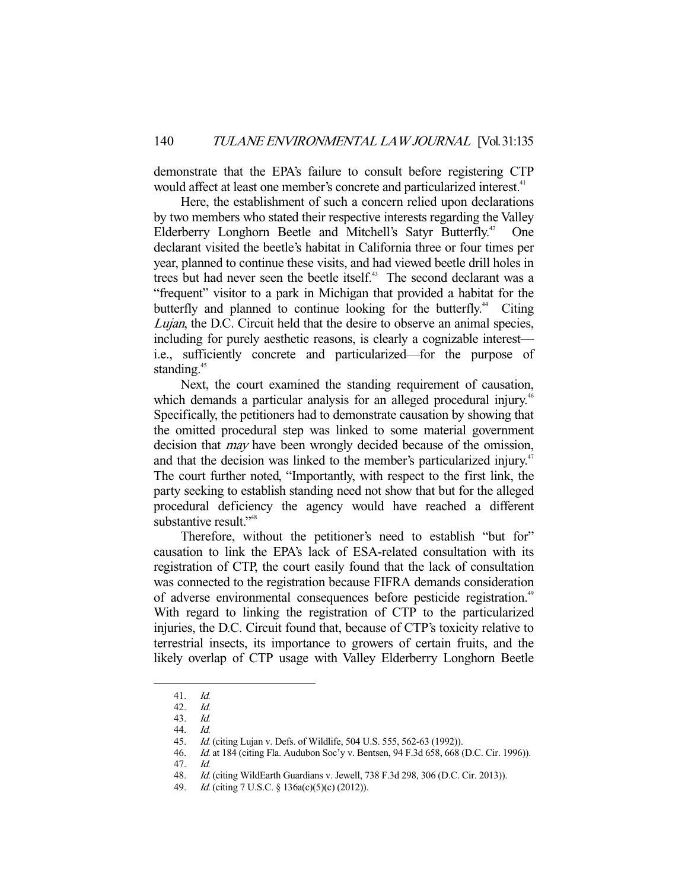demonstrate that the EPA's failure to consult before registering CTP would affect at least one member's concrete and particularized interest.<sup>41</sup>

 Here, the establishment of such a concern relied upon declarations by two members who stated their respective interests regarding the Valley Elderberry Longhorn Beetle and Mitchell's Satyr Butterfly.<sup>42</sup> One declarant visited the beetle's habitat in California three or four times per year, planned to continue these visits, and had viewed beetle drill holes in trees but had never seen the beetle itself.<sup>43</sup> The second declarant was a "frequent" visitor to a park in Michigan that provided a habitat for the butterfly and planned to continue looking for the butterfly.<sup>44</sup> Citing Lujan, the D.C. Circuit held that the desire to observe an animal species, including for purely aesthetic reasons, is clearly a cognizable interest i.e., sufficiently concrete and particularized—for the purpose of standing.<sup>45</sup>

 Next, the court examined the standing requirement of causation, which demands a particular analysis for an alleged procedural injury.<sup>46</sup> Specifically, the petitioners had to demonstrate causation by showing that the omitted procedural step was linked to some material government decision that *may* have been wrongly decided because of the omission, and that the decision was linked to the member's particularized injury.<sup>47</sup> The court further noted, "Importantly, with respect to the first link, the party seeking to establish standing need not show that but for the alleged procedural deficiency the agency would have reached a different substantive result."<sup>48</sup>

 Therefore, without the petitioner's need to establish "but for" causation to link the EPA's lack of ESA-related consultation with its registration of CTP, the court easily found that the lack of consultation was connected to the registration because FIFRA demands consideration of adverse environmental consequences before pesticide registration.<sup>49</sup> With regard to linking the registration of CTP to the particularized injuries, the D.C. Circuit found that, because of CTP's toxicity relative to terrestrial insects, its importance to growers of certain fruits, and the likely overlap of CTP usage with Valley Elderberry Longhorn Beetle

<sup>41.</sup> *Id.*<br>42. *Id.* 

<sup>42.</sup> 

 <sup>43.</sup> Id. 44. Id.

 <sup>45.</sup> Id. (citing Lujan v. Defs. of Wildlife, 504 U.S. 555, 562-63 (1992)).

 <sup>46.</sup> Id. at 184 (citing Fla. Audubon Soc'y v. Bentsen, 94 F.3d 658, 668 (D.C. Cir. 1996)).

 <sup>47.</sup> Id.

 <sup>48.</sup> Id. (citing WildEarth Guardians v. Jewell, 738 F.3d 298, 306 (D.C. Cir. 2013)).

 <sup>49.</sup> Id. (citing 7 U.S.C. § 136a(c)(5)(c) (2012)).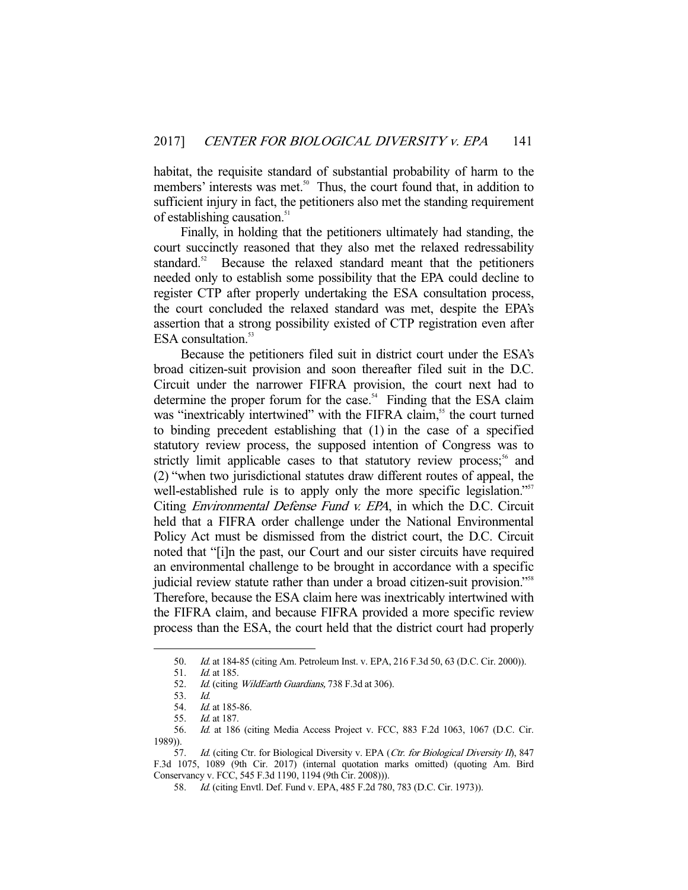habitat, the requisite standard of substantial probability of harm to the members' interests was met.<sup>50</sup> Thus, the court found that, in addition to sufficient injury in fact, the petitioners also met the standing requirement of establishing causation.<sup>51</sup>

 Finally, in holding that the petitioners ultimately had standing, the court succinctly reasoned that they also met the relaxed redressability standard.<sup>52</sup> Because the relaxed standard meant that the petitioners needed only to establish some possibility that the EPA could decline to register CTP after properly undertaking the ESA consultation process, the court concluded the relaxed standard was met, despite the EPA's assertion that a strong possibility existed of CTP registration even after ESA consultation.<sup>53</sup>

 Because the petitioners filed suit in district court under the ESA's broad citizen-suit provision and soon thereafter filed suit in the D.C. Circuit under the narrower FIFRA provision, the court next had to determine the proper forum for the case.<sup> $54$ </sup> Finding that the ESA claim was "inextricably intertwined" with the FIFRA claim,<sup>55</sup> the court turned to binding precedent establishing that (1) in the case of a specified statutory review process, the supposed intention of Congress was to strictly limit applicable cases to that statutory review process;<sup>56</sup> and (2) "when two jurisdictional statutes draw different routes of appeal, the well-established rule is to apply only the more specific legislation."<sup>57</sup> Citing Environmental Defense Fund v. EPA, in which the D.C. Circuit held that a FIFRA order challenge under the National Environmental Policy Act must be dismissed from the district court, the D.C. Circuit noted that "[i]n the past, our Court and our sister circuits have required an environmental challenge to be brought in accordance with a specific judicial review statute rather than under a broad citizen-suit provision."58 Therefore, because the ESA claim here was inextricably intertwined with the FIFRA claim, and because FIFRA provided a more specific review process than the ESA, the court held that the district court had properly

 <sup>50.</sup> Id. at 184-85 (citing Am. Petroleum Inst. v. EPA, 216 F.3d 50, 63 (D.C. Cir. 2000)).

 <sup>51.</sup> Id. at 185.

<sup>52.</sup> Id. (citing WildEarth Guardians, 738 F.3d at 306).

 <sup>53.</sup> Id.

<sup>54.</sup> *Id.* at 185-86.

 <sup>55.</sup> Id. at 187.

 <sup>56.</sup> Id. at 186 (citing Media Access Project v. FCC, 883 F.2d 1063, 1067 (D.C. Cir. 1989)).

<sup>57.</sup> Id. (citing Ctr. for Biological Diversity v. EPA (Ctr. for Biological Diversity II), 847 F.3d 1075, 1089 (9th Cir. 2017) (internal quotation marks omitted) (quoting Am. Bird Conservancy v. FCC, 545 F.3d 1190, 1194 (9th Cir. 2008))).

<sup>58.</sup> *Id.* (citing Envtl. Def. Fund v. EPA, 485 F.2d 780, 783 (D.C. Cir. 1973)).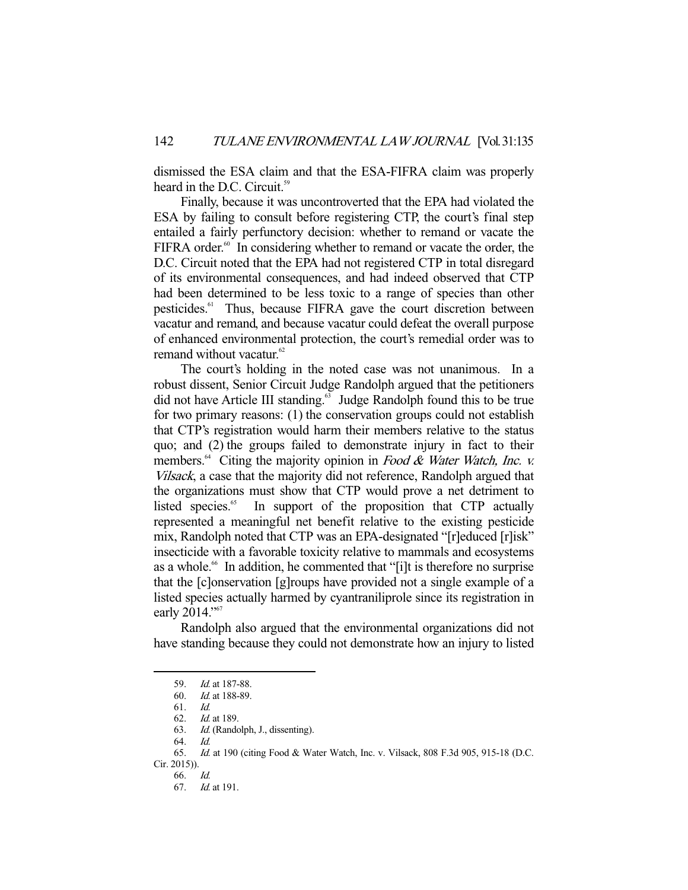dismissed the ESA claim and that the ESA-FIFRA claim was properly heard in the D.C. Circuit.<sup>59</sup>

 Finally, because it was uncontroverted that the EPA had violated the ESA by failing to consult before registering CTP, the court's final step entailed a fairly perfunctory decision: whether to remand or vacate the FIFRA order. $60$  In considering whether to remand or vacate the order, the D.C. Circuit noted that the EPA had not registered CTP in total disregard of its environmental consequences, and had indeed observed that CTP had been determined to be less toxic to a range of species than other pesticides.<sup>61</sup> Thus, because FIFRA gave the court discretion between vacatur and remand, and because vacatur could defeat the overall purpose of enhanced environmental protection, the court's remedial order was to remand without vacatur.<sup>62</sup>

 The court's holding in the noted case was not unanimous. In a robust dissent, Senior Circuit Judge Randolph argued that the petitioners did not have Article III standing.<sup>63</sup> Judge Randolph found this to be true for two primary reasons: (1) the conservation groups could not establish that CTP's registration would harm their members relative to the status quo; and (2) the groups failed to demonstrate injury in fact to their members.<sup>64</sup> Citing the majority opinion in Food & Water Watch, Inc. v. Vilsack, a case that the majority did not reference, Randolph argued that the organizations must show that CTP would prove a net detriment to listed species.<sup>65</sup> In support of the proposition that CTP actually represented a meaningful net benefit relative to the existing pesticide mix, Randolph noted that CTP was an EPA-designated "[r]educed [r]isk" insecticide with a favorable toxicity relative to mammals and ecosystems as a whole.<sup>66</sup> In addition, he commented that "[i]t is therefore no surprise that the [c]onservation [g]roups have provided not a single example of a listed species actually harmed by cyantraniliprole since its registration in early 2014."<sup>67</sup>

 Randolph also argued that the environmental organizations did not have standing because they could not demonstrate how an injury to listed

<sup>59.</sup> *Id.* at 187-88.

 <sup>60.</sup> Id. at 188-89.

 <sup>61.</sup> Id.

Id. at 189.

 <sup>63.</sup> Id. (Randolph, J., dissenting).

 <sup>64.</sup> Id.

 <sup>65.</sup> Id. at 190 (citing Food & Water Watch, Inc. v. Vilsack, 808 F.3d 905, 915-18 (D.C. Cir. 2015)).

 <sup>66.</sup> Id.

 <sup>67.</sup> Id. at 191.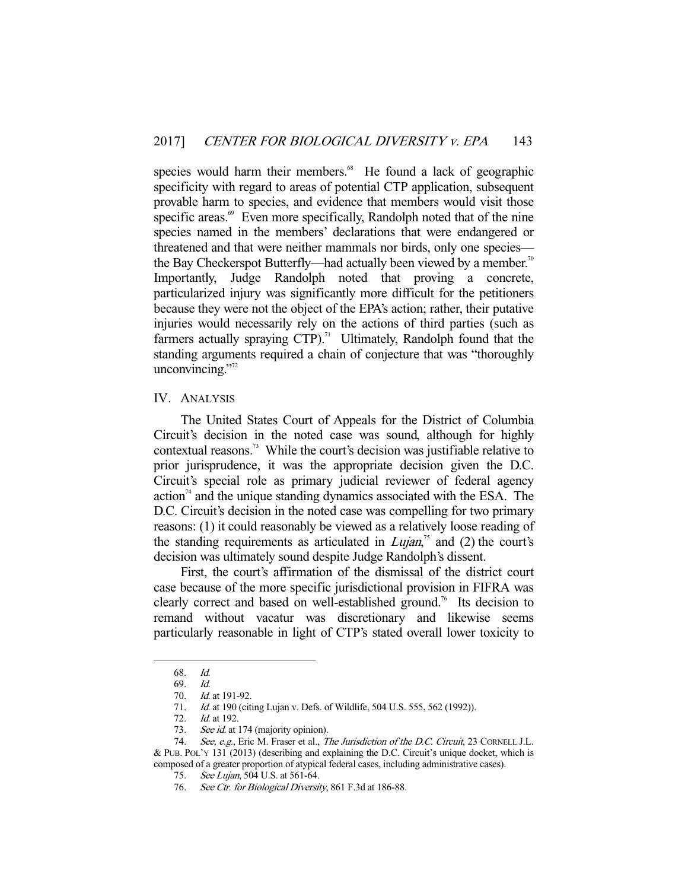species would harm their members.<sup>68</sup> He found a lack of geographic specificity with regard to areas of potential CTP application, subsequent provable harm to species, and evidence that members would visit those specific areas.<sup>69</sup> Even more specifically, Randolph noted that of the nine species named in the members' declarations that were endangered or threatened and that were neither mammals nor birds, only one species the Bay Checkerspot Butterfly—had actually been viewed by a member.<sup>70</sup> Importantly, Judge Randolph noted that proving a concrete, particularized injury was significantly more difficult for the petitioners because they were not the object of the EPA's action; rather, their putative injuries would necessarily rely on the actions of third parties (such as farmers actually spraying  $CTP$ ).<sup>71</sup> Ultimately, Randolph found that the standing arguments required a chain of conjecture that was "thoroughly unconvincing." $2^{72}$ 

#### IV. ANALYSIS

 The United States Court of Appeals for the District of Columbia Circuit's decision in the noted case was sound, although for highly contextual reasons.<sup>73</sup> While the court's decision was justifiable relative to prior jurisprudence, it was the appropriate decision given the D.C. Circuit's special role as primary judicial reviewer of federal agency  $\alpha$  action<sup> $\alpha$ </sup> and the unique standing dynamics associated with the ESA. The D.C. Circuit's decision in the noted case was compelling for two primary reasons: (1) it could reasonably be viewed as a relatively loose reading of the standing requirements as articulated in  $Lujan$ <sup>35</sup> and (2) the court's decision was ultimately sound despite Judge Randolph's dissent.

 First, the court's affirmation of the dismissal of the district court case because of the more specific jurisdictional provision in FIFRA was clearly correct and based on well-established ground.76 Its decision to remand without vacatur was discretionary and likewise seems particularly reasonable in light of CTP's stated overall lower toxicity to

 <sup>68.</sup> Id.

 <sup>69.</sup> Id. *Id.* at 191-92.

<sup>71.</sup> *Id.* at 190 (citing Lujan v. Defs. of Wildlife, 504 U.S. 555, 562 (1992)).

 <sup>72.</sup> Id. at 192.

<sup>73.</sup> See id. at 174 (majority opinion).

<sup>74.</sup> See, e.g., Eric M. Fraser et al., The Jurisdiction of the D.C. Circuit, 23 CORNELL J.L. & PUB. POL'Y 131 (2013) (describing and explaining the D.C. Circuit's unique docket, which is composed of a greater proportion of atypical federal cases, including administrative cases).

<sup>75.</sup> See Lujan, 504 U.S. at 561-64.

<sup>76.</sup> See Ctr. for Biological Diversity, 861 F.3d at 186-88.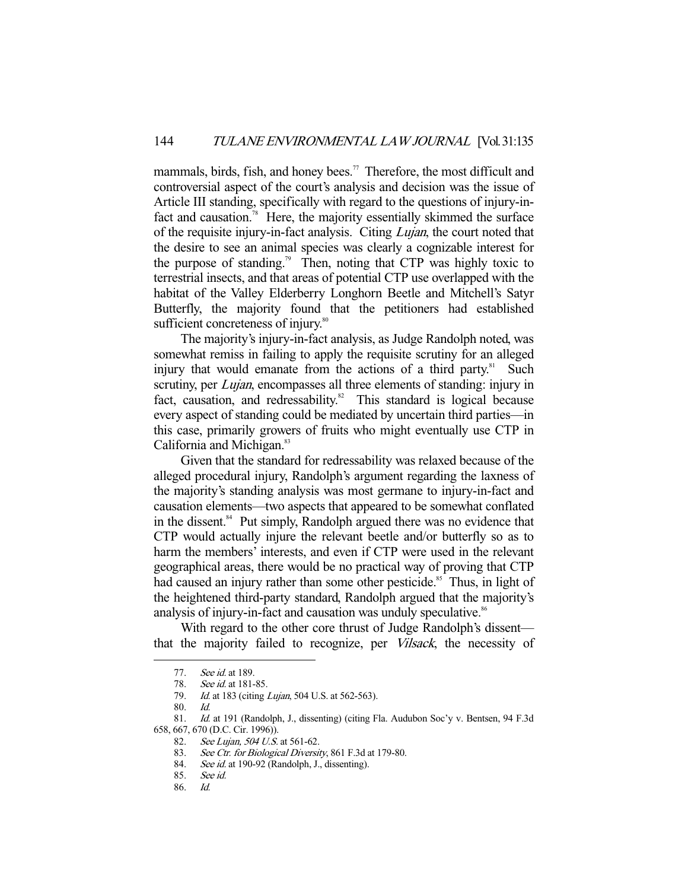mammals, birds, fish, and honey bees.<sup>77</sup> Therefore, the most difficult and controversial aspect of the court's analysis and decision was the issue of Article III standing, specifically with regard to the questions of injury-infact and causation.<sup>78</sup> Here, the majority essentially skimmed the surface of the requisite injury-in-fact analysis. Citing *Lujan*, the court noted that the desire to see an animal species was clearly a cognizable interest for the purpose of standing.<sup>79</sup> Then, noting that CTP was highly toxic to terrestrial insects, and that areas of potential CTP use overlapped with the habitat of the Valley Elderberry Longhorn Beetle and Mitchell's Satyr Butterfly, the majority found that the petitioners had established sufficient concreteness of injury.<sup>80</sup>

 The majority's injury-in-fact analysis, as Judge Randolph noted, was somewhat remiss in failing to apply the requisite scrutiny for an alleged injury that would emanate from the actions of a third party.<sup>81</sup> Such scrutiny, per *Lujan*, encompasses all three elements of standing: injury in fact, causation, and redressability.<sup>82</sup> This standard is logical because every aspect of standing could be mediated by uncertain third parties—in this case, primarily growers of fruits who might eventually use CTP in California and Michigan.<sup>83</sup>

 Given that the standard for redressability was relaxed because of the alleged procedural injury, Randolph's argument regarding the laxness of the majority's standing analysis was most germane to injury-in-fact and causation elements—two aspects that appeared to be somewhat conflated in the dissent.<sup>84</sup> Put simply, Randolph argued there was no evidence that CTP would actually injure the relevant beetle and/or butterfly so as to harm the members' interests, and even if CTP were used in the relevant geographical areas, there would be no practical way of proving that CTP had caused an injury rather than some other pesticide.<sup>85</sup> Thus, in light of the heightened third-party standard, Randolph argued that the majority's analysis of injury-in-fact and causation was unduly speculative.<sup>86</sup>

 With regard to the other core thrust of Judge Randolph's dissent that the majority failed to recognize, per Vilsack, the necessity of

 <sup>77.</sup> See id. at 189.

<sup>78.</sup> See id. at 181-85.

<sup>79.</sup> *Id.* at 183 (citing *Lujan*, 504 U.S. at 562-563).

 <sup>80.</sup> Id.

 <sup>81.</sup> Id. at 191 (Randolph, J., dissenting) (citing Fla. Audubon Soc'y v. Bentsen, 94 F.3d 658, 667, 670 (D.C. Cir. 1996)).

<sup>82.</sup> See Lujan, 504 U.S. at 561-62.

<sup>83.</sup> See Ctr. for Biological Diversity, 861 F.3d at 179-80.

<sup>84.</sup> See id. at 190-92 (Randolph, J., dissenting).

 <sup>85.</sup> See id.

 <sup>86.</sup> Id.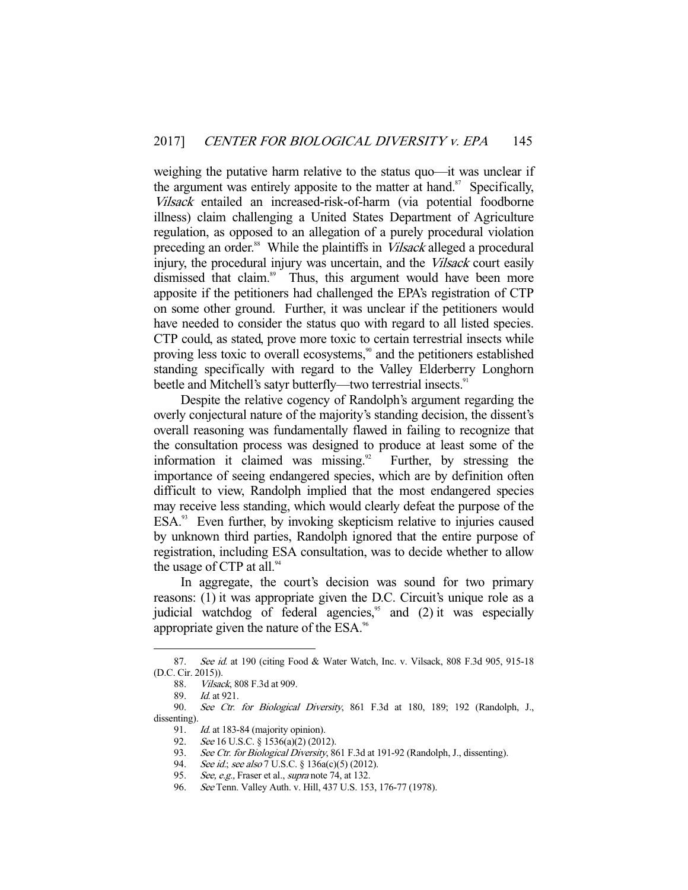weighing the putative harm relative to the status quo—it was unclear if the argument was entirely apposite to the matter at hand. $87$  Specifically, Vilsack entailed an increased-risk-of-harm (via potential foodborne illness) claim challenging a United States Department of Agriculture regulation, as opposed to an allegation of a purely procedural violation preceding an order.<sup>88</sup> While the plaintiffs in *Vilsack* alleged a procedural injury, the procedural injury was uncertain, and the *Vilsack* court easily dismissed that claim.<sup>89</sup> Thus, this argument would have been more apposite if the petitioners had challenged the EPA's registration of CTP on some other ground. Further, it was unclear if the petitioners would have needed to consider the status quo with regard to all listed species. CTP could, as stated, prove more toxic to certain terrestrial insects while proving less toxic to overall ecosystems,<sup>90</sup> and the petitioners established standing specifically with regard to the Valley Elderberry Longhorn beetle and Mitchell's satyr butterfly—two terrestrial insects.<sup>91</sup>

 Despite the relative cogency of Randolph's argument regarding the overly conjectural nature of the majority's standing decision, the dissent's overall reasoning was fundamentally flawed in failing to recognize that the consultation process was designed to produce at least some of the information it claimed was missing. $92$  Further, by stressing the importance of seeing endangered species, which are by definition often difficult to view, Randolph implied that the most endangered species may receive less standing, which would clearly defeat the purpose of the  $ESA.^{93}$  Even further, by invoking skepticism relative to injuries caused by unknown third parties, Randolph ignored that the entire purpose of registration, including ESA consultation, was to decide whether to allow the usage of CTP at all. $94$ 

 In aggregate, the court's decision was sound for two primary reasons: (1) it was appropriate given the D.C. Circuit's unique role as a judicial watchdog of federal agencies, $\frac{95}{10}$  and (2) it was especially appropriate given the nature of the ESA.<sup>96</sup>

<sup>87.</sup> See id. at 190 (citing Food & Water Watch, Inc. v. Vilsack, 808 F.3d 905, 915-18 (D.C. Cir. 2015)).

 <sup>88.</sup> Vilsack, 808 F.3d at 909.

<sup>89.</sup> *Id.* at 921.<br>90. *See Ctr.* 

See Ctr. for Biological Diversity, 861 F.3d at 180, 189; 192 (Randolph, J., dissenting).

<sup>91.</sup> *Id.* at 183-84 (majority opinion).<br>92. *See* 16 U.S.C. § 1536(a)(2) (201<br>93. *See Ctr. for Biological Diversity* See 16 U.S.C. § 1536(a)(2) (2012).

See Ctr. for Biological Diversity, 861 F.3d at 191-92 (Randolph, J., dissenting).

<sup>94.</sup> See id.; see also 7 U.S.C. § 136a(c)(5) (2012).

<sup>95.</sup> See, e.g., Fraser et al., supra note 74, at 132.

<sup>96.</sup> See Tenn. Valley Auth. v. Hill, 437 U.S. 153, 176-77 (1978).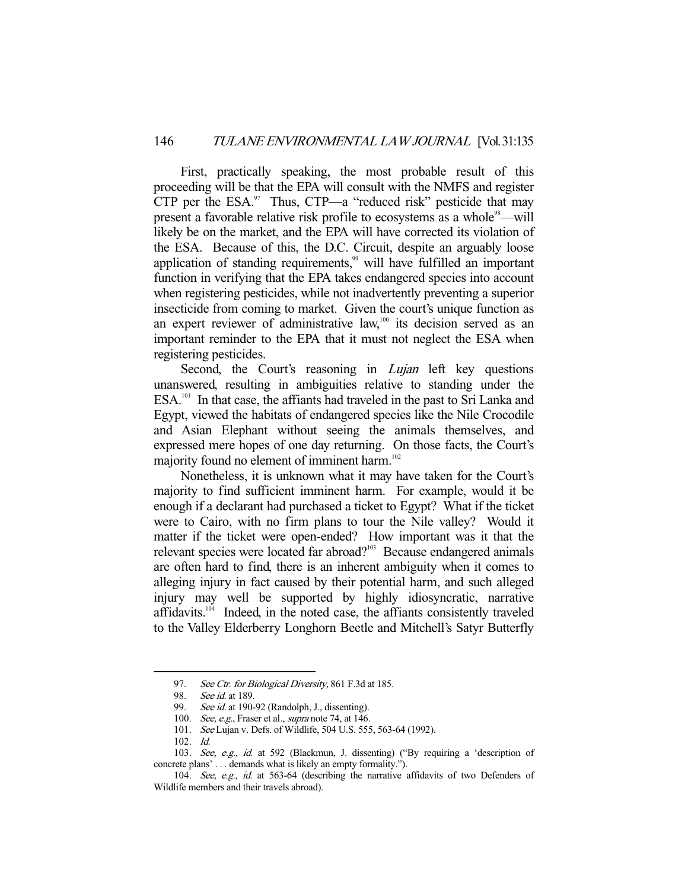First, practically speaking, the most probable result of this proceeding will be that the EPA will consult with the NMFS and register CTP per the  $ESA$ . Thus, CTP—a "reduced risk" pesticide that may present a favorable relative risk profile to ecosystems as a whole<sup>98</sup>—will likely be on the market, and the EPA will have corrected its violation of the ESA. Because of this, the D.C. Circuit, despite an arguably loose application of standing requirements,<sup>99</sup> will have fulfilled an important function in verifying that the EPA takes endangered species into account when registering pesticides, while not inadvertently preventing a superior insecticide from coming to market. Given the court's unique function as an expert reviewer of administrative law,<sup>100</sup> its decision served as an important reminder to the EPA that it must not neglect the ESA when registering pesticides.

Second, the Court's reasoning in *Lujan* left key questions unanswered, resulting in ambiguities relative to standing under the  $ESA<sup>101</sup>$  In that case, the affiants had traveled in the past to Sri Lanka and Egypt, viewed the habitats of endangered species like the Nile Crocodile and Asian Elephant without seeing the animals themselves, and expressed mere hopes of one day returning. On those facts, the Court's majority found no element of imminent harm.<sup>102</sup>

 Nonetheless, it is unknown what it may have taken for the Court's majority to find sufficient imminent harm. For example, would it be enough if a declarant had purchased a ticket to Egypt? What if the ticket were to Cairo, with no firm plans to tour the Nile valley? Would it matter if the ticket were open-ended? How important was it that the relevant species were located far abroad?<sup>103</sup> Because endangered animals are often hard to find, there is an inherent ambiguity when it comes to alleging injury in fact caused by their potential harm, and such alleged injury may well be supported by highly idiosyncratic, narrative affidavits.<sup>104</sup> Indeed, in the noted case, the affiants consistently traveled to the Valley Elderberry Longhorn Beetle and Mitchell's Satyr Butterfly

<sup>97.</sup> See Ctr. for Biological Diversity, 861 F.3d at 185.

 <sup>98.</sup> See id. at 189.

<sup>99.</sup> See id. at 190-92 (Randolph, J., dissenting).

<sup>100.</sup> See, e.g., Fraser et al., supra note 74, at 146.

 <sup>101.</sup> See Lujan v. Defs. of Wildlife, 504 U.S. 555, 563-64 (1992).

 <sup>102.</sup> Id.

 <sup>103.</sup> See, e.g., id. at 592 (Blackmun, J. dissenting) ("By requiring a 'description of concrete plans' . . . demands what is likely an empty formality.").

 <sup>104.</sup> See, e.g., id. at 563-64 (describing the narrative affidavits of two Defenders of Wildlife members and their travels abroad).